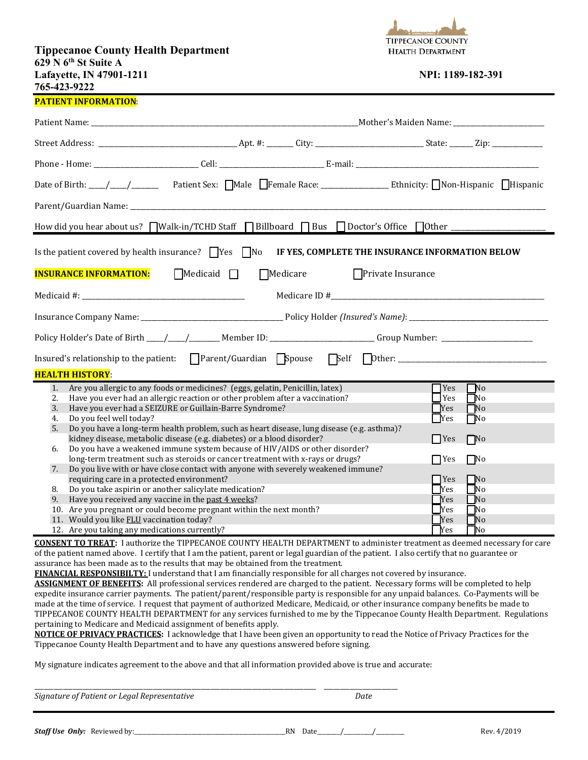## **Tippecanoe County Health Department 629 N 6th St Suite A Lafayette, IN 47901-1211 NPI:** 1189-182-391 **765-423-9222**



## **PATIENT INFORMATION**:

| How did you hear about us? Walk-in/TCHD Staff NE Billboard NE Bus Doctor's Office Other __________________           |                                                                                                                                                                |  |  |  |                          |                        |  |  |  |
|----------------------------------------------------------------------------------------------------------------------|----------------------------------------------------------------------------------------------------------------------------------------------------------------|--|--|--|--------------------------|------------------------|--|--|--|
| Is the patient covered by health insurance? $\Box$ Yes $\Box$ No<br>IF YES, COMPLETE THE INSURANCE INFORMATION BELOW |                                                                                                                                                                |  |  |  |                          |                        |  |  |  |
| <b>INSURANCE INFORMATION:</b><br>$\Box$ Medicaid $\Box$<br>$\Box$ Medicare<br>$\Box$ Private Insurance               |                                                                                                                                                                |  |  |  |                          |                        |  |  |  |
|                                                                                                                      |                                                                                                                                                                |  |  |  |                          |                        |  |  |  |
|                                                                                                                      |                                                                                                                                                                |  |  |  |                          |                        |  |  |  |
|                                                                                                                      |                                                                                                                                                                |  |  |  |                          |                        |  |  |  |
|                                                                                                                      |                                                                                                                                                                |  |  |  |                          |                        |  |  |  |
|                                                                                                                      | <b>HEALTH HISTORY:</b>                                                                                                                                         |  |  |  |                          |                        |  |  |  |
| 1.<br>2.                                                                                                             | Are you allergic to any foods or medicines? (eggs, gelatin, Penicillin, latex)<br>Have you ever had an allergic reaction or other problem after a vaccination? |  |  |  | $\Box$ Yes<br>$\Box$ Yes | $\Box$ No<br>$\Box$ No |  |  |  |
| 3.                                                                                                                   | $\Box$ Yes<br>Have you ever had a SEIZURE or Guillain-Barre Syndrome?<br>$\Box$ No                                                                             |  |  |  |                          |                        |  |  |  |
| 4.                                                                                                                   | Do you feel well today?<br><b>Nes</b><br>$\Box$ No                                                                                                             |  |  |  |                          |                        |  |  |  |
| 5.                                                                                                                   | Do you have a long-term health problem, such as heart disease, lung disease (e.g. asthma)?                                                                     |  |  |  |                          |                        |  |  |  |
|                                                                                                                      | kidney disease, metabolic disease (e.g. diabetes) or a blood disorder?                                                                                         |  |  |  | $\Box$ Yes               | $\Box$ No              |  |  |  |
| 6.                                                                                                                   | Do you have a weakened immune system because of HIV/AIDS or other disorder?<br>long-term treatment such as steroids or cancer treatment with x-rays or drugs?  |  |  |  |                          |                        |  |  |  |
| 7.                                                                                                                   |                                                                                                                                                                |  |  |  | $\Box$ Yes               | $\Box$ No              |  |  |  |
|                                                                                                                      | Do you live with or have close contact with anyone with severely weakened immune?<br>requiring care in a protected environment?<br>$\Box$ Yes<br>$\Box$ No     |  |  |  |                          |                        |  |  |  |
| 8.                                                                                                                   | Do you take aspirin or another salicylate medication?                                                                                                          |  |  |  | $\Box$ Yes               | $\square$ No           |  |  |  |
| 9.                                                                                                                   | Have you received any vaccine in the past 4 weeks?                                                                                                             |  |  |  | <b>T</b> Yes             | $\Box$ No              |  |  |  |
|                                                                                                                      | 10. Are you pregnant or could become pregnant within the next month?                                                                                           |  |  |  | Yes                      | $\Box$ No              |  |  |  |
|                                                                                                                      | 11. Would you like FLU vaccination today?                                                                                                                      |  |  |  | <b>Yes</b>               | `No                    |  |  |  |
|                                                                                                                      | 12. Are you taking any medications currently?                                                                                                                  |  |  |  | <b>P</b> Yes             | $\Box$ No              |  |  |  |

**CONSENT TO TREAT:** I authorize the TIPPECANOE COUNTY HEALTH DEPARTMENT to administer treatment as deemed necessary for care of the patient named above. I certify that I am the patient, parent or legal guardian of the patient. I also certify that no guarantee or assurance has been made as to the results that may be obtained from the treatment.

**FINANCIAL RESPONSIBILTY:** I understand that I am financially responsible for all charges not covered by insurance.

**ASSIGNMENT OF BENEFITS:** All professional services rendered are charged to the patient. Necessary forms will be completed to help expedite insurance carrier payments. The patient/parent/responsible party is responsible for any unpaid balances. Co-Payments will be made at the time of service. I request that payment of authorized Medicare, Medicaid, or other insurance company benefits be made to TIPPECANOE COUNTY HEALTH DEPARTMENT for any services furnished to me by the Tippecanoe County Health Department. Regulations pertaining to Medicare and Medicaid assignment of benefits apply.

**NOTICE OF PRIVACY PRACTICES:** I acknowledge that I have been given an opportunity to read the Notice of Privacy Practices for the Tippecanoe County Health Department and to have any questions answered before signing.

My signature indicates agreement to the above and that all information provided above is true and accurate:

*Signature of Patient or Legal Representative Date*

\_\_\_\_\_\_\_\_\_\_\_\_\_\_\_\_\_\_\_\_\_\_\_\_\_\_\_\_\_\_\_\_\_\_\_\_\_\_\_\_\_\_\_\_\_\_\_\_\_\_\_\_\_\_\_\_\_\_\_\_\_\_\_\_\_\_\_\_\_\_\_\_\_\_\_\_\_\_\_\_\_\_\_\_\_\_\_\_ \_\_\_\_\_\_\_\_\_\_\_\_\_\_\_\_\_\_\_\_\_\_\_